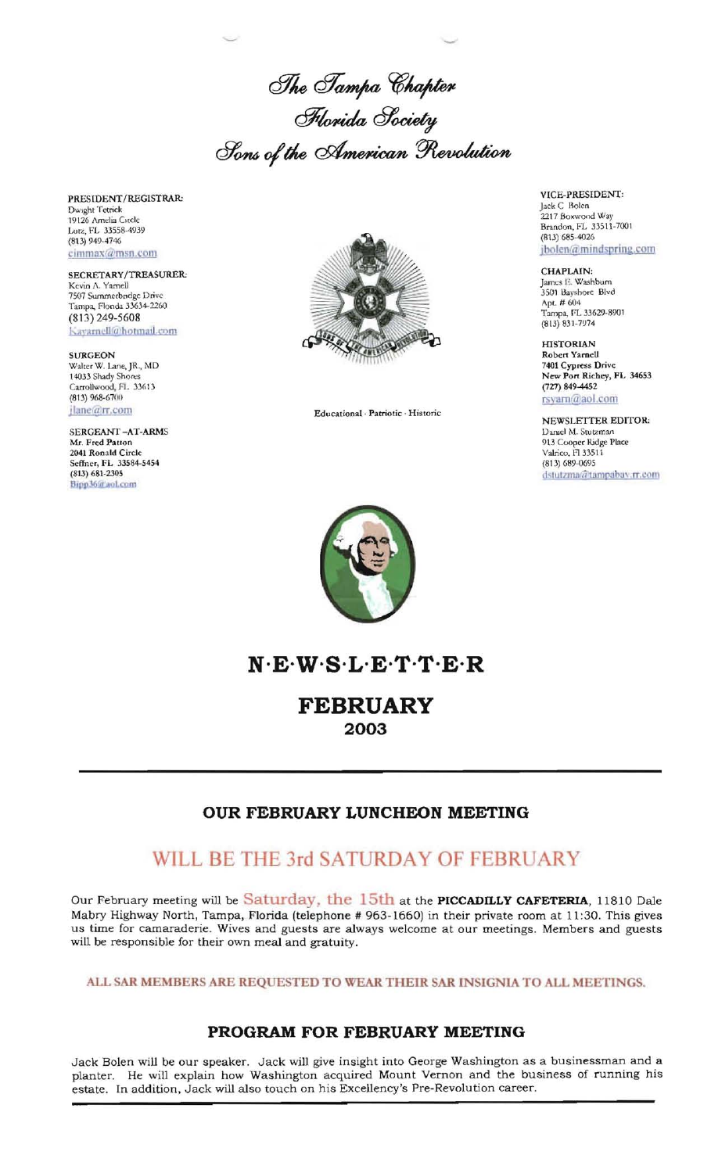The Tampa Chapter<br>Florida Society Sons of the American Revolution

PRESIDENT/REGISTRAR: Dwight Tetrick<br>19126 Amelia Citcle Lutz, FL 33558-4939 (813) 949-4746 cimmax@msn.com

SECRETARY/TREASURER: Kevin A. Yamell 7507 Summerbindge Drive<br>Tampa, Florida 33634-2260  $(813)$  249-5608 Kayarnell@hotmail.com

**SURGEON** Walter W. Lane, JR., MD 14033 Shady Shores Carrollwood, Fl. 33613 (813) 968-6700 jlane@rr.com

SERGEANT-AT-ARMS Mr. Fred Patton 2041 Ronald Circle<br>Seffner, FL 33584-5454  $(813) 681 - 2305$ Bipp36@aoLcom



Educational · Patriotic · Historic

VICE-PRESIDENT: Jack C Bolen<br>2217 Boxwood Way<br>Brandon, FL 33511-7001<br>(813) 685-4026 jbolen@mindspring.com

CHAPLAIN: James E. Washbum 3501 Bayshore Blvd Apt. # 604 Tampa, FL 33629-8901  $(813) 831 - 7974$ 

**HISTORIAN** Robert Yarnell<br>7401 Cypress Drive New Port Richey, FL 34653 (727) 849-4452 rsyam@aol.com

NEWSLETTER EDITOR: Daniel M. Stutzman 913 Cooper Ridge Place Valrico, FI 33511 (813) 689-0695 dstutzma@tampabav.rr.com



 $N E W S L E T T E R$ 

**FEBRUARY** 2003

## OUR FEBRUARY LUNCHEON MEETING

# WILL BE THE 3rd SATURDAY OF FEBRUARY

Our February meeting will be Saturday, the 15th at the PICCADILLY CAFETERIA, 11810 Dale Mabry Highway North, Tampa, Florida (telephone # 963-1660) in their private room at 11:30. This gives us time for camaraderie. Wives and guests are always welcome at our meetings. Members and guests will be responsible for their own meal and gratuity.

ALL SAR MEMBERS ARE REQUESTED TO WEAR THEIR SAR INSIGNIA TO ALL MEETINGS.

## PROGRAM FOR FEBRUARY MEETING

Jack Bolen will be our speaker. Jack will give insight into George Washington as a businessman and a planter. He will explain how Washington acquired Mount Vernon and the business of running his estate. In addition, Jack will also touch on his Excellency's Pre-Revolution career.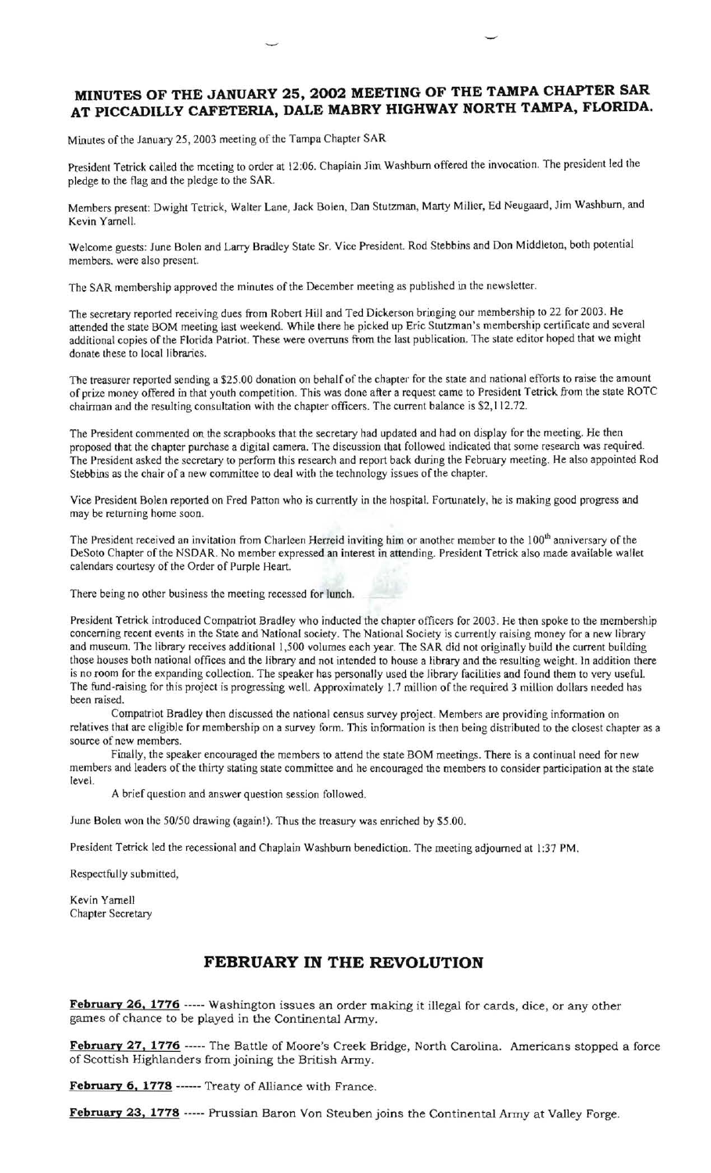## **MINUTES OF THE JANUARY 25, 2002 MEETING OF THE TAMPA CHAPTER SAR AT PICCADILLY CAFETERIA, DALE MABRY HIGHWAY NORTH TAMPA, FLORIDA.**

Minutes of the January 25, 2003 meeting of the Tampa Chapter SAR

President Tetrick called the mceting to order at 12:06. Chaplain Jim Washburn offered the invocation. The president led the pledge to the flag and the pledge to the SAR.

Members present: Dwight Tetrick, Walter Lane, Jack Bolen, Dan Stutzman, Marty Miller, Ed Neugaard, Jim Washburn, and Kevin Yarnell.

Welcome guests: June Bolen and Larry Bradley State Sr. Vice President. Rod Stebbins and Don Middleton, both potential members. were also present.

The SAR membership approved the minutes of the December meeting as published in the newsletter.

The secretary reported receiving dues from Robert Hill and Ted Dickerson bringing our membership to 22 for 2003. He attended the state BOM meeting last weekend. While there he picked up Eric Stutzman's membership certificate and several additional copies of the florida Patriot. These were overruns from the last publication. The state editor hoped that we might donate these to local libraries.

The treasurer reported sending a \$25.00 donation on behalf of the chapter for the state and national efforts to raise the amount of prize money offered in that youth competition. This was done after a request came to President Tetrick from the state ROTC chairman and the resulting consultation with the chapter officers. The current balance is \$2,112.72.

The President commented on the scrapbooks that the secretary had updated and had on display for the meeting. He then proposed that the chapter purchase a digital camera. The discussion that followed indicated that some research was required. The President asked the secretary to perform this research and report back during the february meeting. He also appointed Rod Stebbins as the chair of a new committee to deal with the technology issues of the chapter.

Vice President Bolen reported on fred Patton who is currently in the hospital. fortunately, he is making good progress and may be returning home soon.

The President received an invitation from Charleen Herreid inviting him or another member to the 100<sup>th</sup> anniversary of the DeSoto Chapter of the NSDAR. No member expressed an interest in attending. President Tetrick also made available wallet calendars courtesy of the Order of Purple Heart.

There being no other business the meeting recessed for lunch.

President Tetrick introduced Compatriot Bradley who inducted the chapter officers for 2003. He then spoke to the membership concerning recent events in the State and National society. The National Society is currently raising money for a new library and museum. The library receives additional 1,500 volumes each year. The SAR did not originally build the current building those houses both national offices and the library and not intended to house a library and the resulting weight. ln addition there is no room for the expanding collection. The speaker has personally used the library facilities and found them to very useful. The fund-raising for this project is progressing well. Approximately 1.7 million of the required 3 million dollars needed has been raised.

Compatriot Bradley then discussed the national census survey project. Members are providing information on relatives that are eligible for membership on a survey form. This information is then being distributed to the closest chapter as a source of new members.

Finally, the speaker encouraged the members to attend the state BOM meetings. There is a continual need for new members and leaders of the thirty stating state committee and he encouraged the members to consider participation at the state level.

A brief question and answer question session followed.

June Bolen won the 50/50 drawing (again!). Thus the treasury was enriched by \$5.00.

President Tetrick led the recessional and Chaplain Washburn benediction. The meeting adjourned at 1:37 PM.

Respectfully submitted,

Kevin Yarnell Chapter Secretary

### **FEBRUARY IN THE REVOLUTION**

February 26, 1776 ----- Washington issues an order making it illegal for cards, dice, or any other games of chance to be played in the Continental Army.

February 27, 1776 ----- The Battle of Moore's Creek Bridge, North Carolina. Americans stopped a force of Scottish Highlanders from joining the British Army.

**February 6, 1778** ------ Treaty of Alliance with France.

February 23, 1778 ----- Prussian Baron Von Steuben joins the Continental Army at Valley Forge.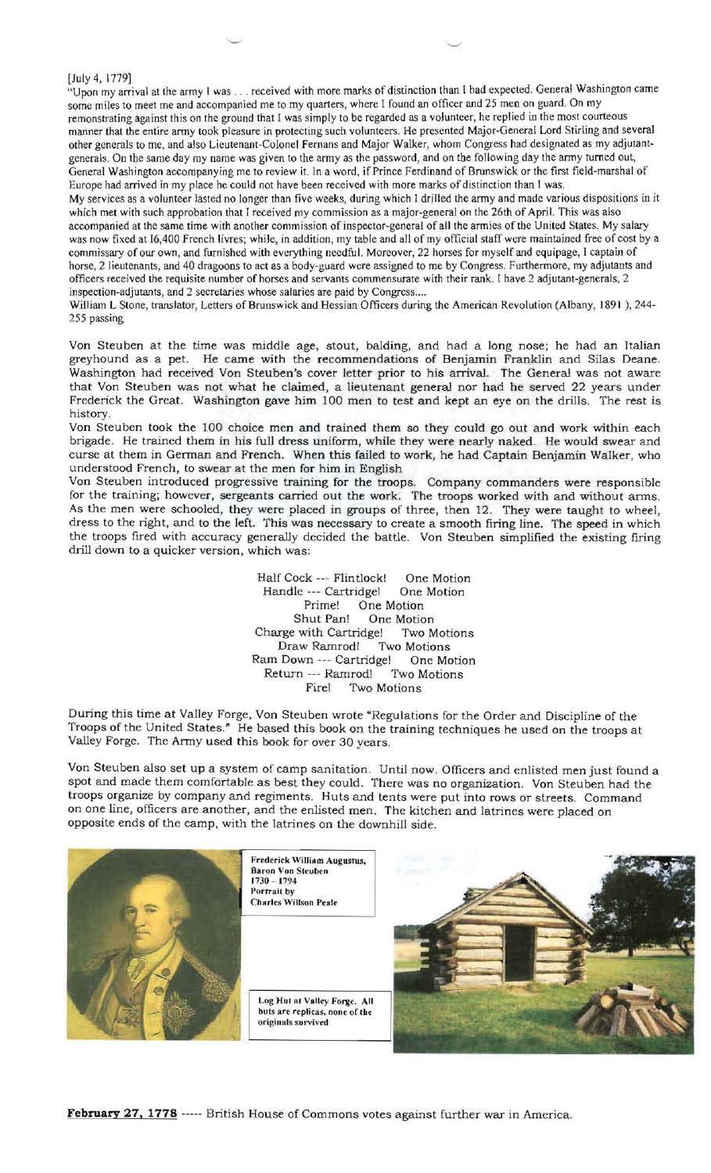[July 4, 1779]<br>"Upon my arrival at the army I was . . . received with more marks of distinction than I had expected. General Washington came some miles to meet me and accompanied me to my quarters, where I found an officer and 25 men on guard. On my remonstrating against this on the ground that I was simply to be regarded as a volunteer, he replied in the most courteous manner that the entire army took pleasure in protecting such volunteers. He presented Major-General Lord Stirling and several other generals to me, and also Lieutenant-Colonel femans and Major Walker, whom Congress had designated as my adjutant generals. On the same day my name was given to the army as the password, and on the following day the army turned out, General Washington accompanying me to review it. In a word, if Prince Ferdinand of Brunswick or the first field-marshal of Europe had arrived in my place he could not have been received with more marks of distinction than I was.

My services as a volunteer lasted no longer than five weeks, during which I drilled the army and made various dispositions in it which met with such approbation that I received my commission as a major-general on the 26th of April. This was also accompanied at the same time with another commission of inspector-general of all the armies of the United States. My salary was now fixed at 16,400 french livres; while, in addition, my table and all of my official staff were maintained free of cost by a commissary of our own, and furnished with everything needful. Moreover, 22 horses for myself and equipage, I captain of horse, 2 lieutenants, and 40 dragoons to act as a body-guard were assigned to me by Congress. Furthermore, my adjutants and officers received the requisite number of horses and servants commensurate with their rank. [ have 2 adjutant-generals, 2 inspection-adjutants, and 2 secretaries whose salaries are paid by Congress....

William L Stone, translator, Letters of Brunswick and Hessian Officers during the American Revolution (Albany, 1891), 244-255 passing

Von Steuben at the time was middle age, stout, balding, and had a long nose; he had an Italian greyhound as a pet. He came with the recommendations of Benjamin Franklin and Silas Deane. Washington had received Von Steuben's cover letter prior to his arrival. The General was not aware that Von Steuben was not what he claimed, a lieutenant general nor had he served 22 years under Frederick the Great. Washington gave him 100 men to test and kept an eye on the drills. The rest is history.

Von Steuben took the 100 choice men and trained them so they could go out and work within each brigade. He trained them in his full dress uniform, while they were nearly naked. He would swear and curse at them in German and French. When this failed to work, he had Captain Benjamin Walker, who understood French, to swear at the men for him in English

Von Steuben introduced progressive training for the troops. Company commanders were responsible for the training; however, sergeants carried out the work. The troops worked with and without anns. As the men were schooled, they were placed in groups of three, then 12. They were taught to wheel, dress to the right, and to the left. This was necessary to create a smooth firing line. The speed in which the troops fired with accuracy generally decided the battle. Von Steuben simplified the existing firing drill down to a quicker version, which was:

> Half Cock --- Flintlock! One Motion<br>Handle --- Cartridge! One Motion Handle --- Cartridgel Prime! One Motion Shut Pan! One Motion Charge with Cartridge! Two Motions Draw Ramrodl Two Motions Ram Down --- Cartridge! One Motion<br>Return --- Ramrod! Two Motions Return --- Ramrod! Firel Two Motions

During this time at Valley Forge, Von Steuben wrote "Regulations for the Order and Discipline of the Troops of the United States." He based this book on the training techniques he used on the troops at Valley Forge. The Army used this book for over 30 years.

Von Steuben also set up a system of camp sanitation. Until now. Officers and enlisted men just found a spot and made them comfortable as best they could. There was no organization. Von Steuben had the troops organize by company and regiments. Huts and tents were put into rows or streets. Command on one line, officers are another, and the enlisted men. The kitchen and latrines were placed on opposite ends of the camp, with the latrines on the downhill side.